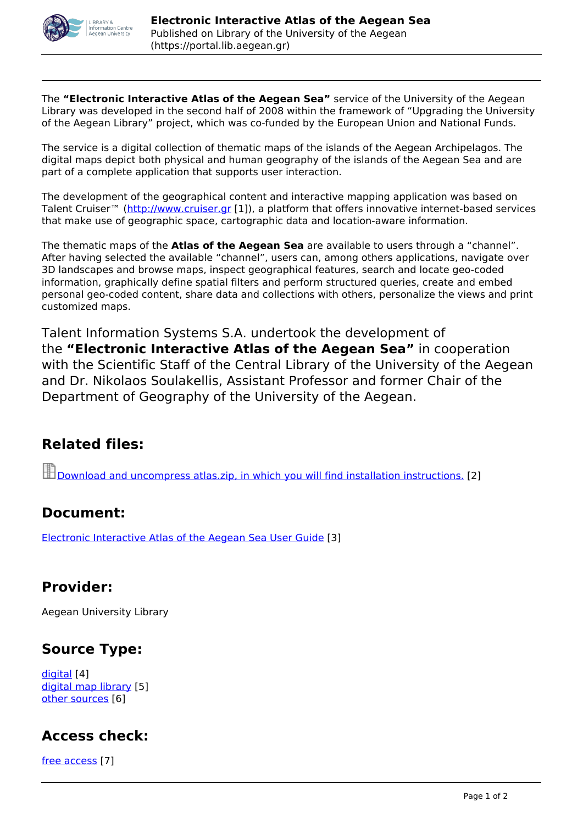

The **"Electronic Interactive Atlas of the Aegean Sea"** service of the University of the Aegean Library was developed in the second half of 2008 within the framework of "Upgrading the University of the Aegean Library" project, which was co-funded by the European Union and National Funds.

The service is a digital collection of thematic maps of the islands of the Aegean Archipelagos. The digital maps depict both physical and human geography of the islands of the Aegean Sea and are part of a complete application that supports user interaction.

The development of the geographical content and interactive mapping application was based on Talent Cruiser<sup>™</sup> (<http://www.cruiser.gr> [1]), a platform that offers innovative internet-based services that make use of geographic space, cartographic data and location-aware information.

The thematic maps of the **Atlas of the Aegean Sea** are available to users through a "channel". After having selected the available "channel", users can, among others applications, navigate over 3D landscapes and browse maps, inspect geographical features, search and locate geo-coded information, graphically define spatial filters and perform structured queries, create and embed personal geo-coded content, share data and collections with others, personalize the views and print customized maps.

Talent Information Systems S.A. undertook the development of the **"Electronic Interactive Atlas of the Aegean Sea"** in cooperation with the Scientific Staff of the Central Library of the University of the Aegean and Dr. Nikolaos Soulakellis, Assistant Professor and former Chair of the Department of Geography of the University of the Aegean.

# **Related files:**

[Download and uncompress atlas.zip, in which you will find installation instructions.](https://portal.lib.aegean.gr/sites/default/files/node_files/source/atlas.zip) [2]

#### **Document:**

[Electronic Interactive Atlas of the Aegean Sea User Guide](https://portal.lib.aegean.gr/en/electronic-interactive-atlas-aegean-sea-user-guide) [3]

# **Provider:**

Aegean University Library

# **Source Type:**

[digital](https://portal.lib.aegean.gr/en/typos-pigis/digital) [4] [digital map library](https://portal.lib.aegean.gr/en/typos-pigis/digital-map-library) [5] [other sources](https://portal.lib.aegean.gr/en/typos-pigis/other-sources) [6]

# **Access check:**

[free access](https://portal.lib.aegean.gr/en/eleghos-prosvasis/free-access) [7]